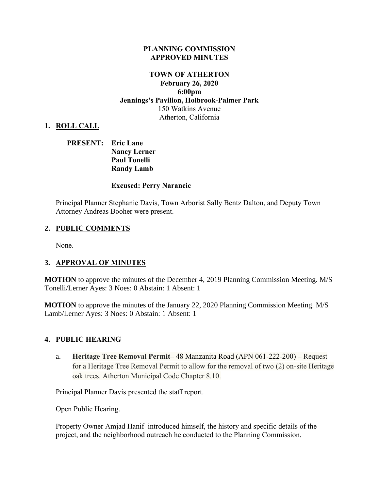#### **PLANNING COMMISSION APPROVED MINUTES**

## **TOWN OF ATHERTON February 26, 2020 6:00pm Jennings's Pavilion, Holbrook-Palmer Park** 150 Watkins Avenue Atherton, California

### **1. ROLL CALL**

## **PRESENT: Eric Lane Nancy Lerner Paul Tonelli Randy Lamb**

#### **Excused: Perry Narancic**

Principal Planner Stephanie Davis, Town Arborist Sally Bentz Dalton, and Deputy Town Attorney Andreas Booher were present.

#### **2. PUBLIC COMMENTS**

None.

#### **3. APPROVAL OF MINUTES**

**MOTION** to approve the minutes of the December 4, 2019 Planning Commission Meeting. M/S Tonelli/Lerner Ayes: 3 Noes: 0 Abstain: 1 Absent: 1

**MOTION** to approve the minutes of the January 22, 2020 Planning Commission Meeting. M/S Lamb/Lerner Ayes: 3 Noes: 0 Abstain: 1 Absent: 1

#### **4. PUBLIC HEARING**

a. **Heritage Tree Removal Permit–** 48 Manzanita Road (APN 061-222-200) **–** Request for a Heritage Tree Removal Permit to allow for the removal of two (2) on-site Heritage oak trees. Atherton Municipal Code Chapter 8.10.

Principal Planner Davis presented the staff report.

Open Public Hearing.

Property Owner Amjad Hanif introduced himself, the history and specific details of the project, and the neighborhood outreach he conducted to the Planning Commission.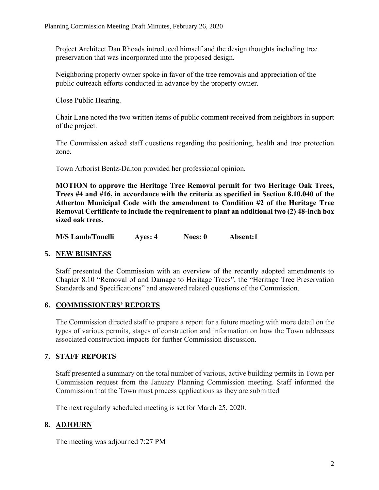Project Architect Dan Rhoads introduced himself and the design thoughts including tree preservation that was incorporated into the proposed design.

Neighboring property owner spoke in favor of the tree removals and appreciation of the public outreach efforts conducted in advance by the property owner.

Close Public Hearing.

Chair Lane noted the two written items of public comment received from neighbors in support of the project.

The Commission asked staff questions regarding the positioning, health and tree protection zone.

Town Arborist Bentz-Dalton provided her professional opinion.

**MOTION to approve the Heritage Tree Removal permit for two Heritage Oak Trees, Trees #4 and #16, in accordance with the criteria as specified in Section 8.10.040 of the Atherton Municipal Code with the amendment to Condition #2 of the Heritage Tree Removal Certificate to include the requirement to plant an additional two (2) 48-inch box sized oak trees.**

|  | <b>M/S Lamb/Tonelli</b> | Ayes: 4 | Noes: 0 | Absent:1 |
|--|-------------------------|---------|---------|----------|
|--|-------------------------|---------|---------|----------|

## **5. NEW BUSINESS**

Staff presented the Commission with an overview of the recently adopted amendments to Chapter 8.10 "Removal of and Damage to Heritage Trees", the "Heritage Tree Preservation Standards and Specifications" and answered related questions of the Commission.

## **6. COMMISSIONERS' REPORTS**

The Commission directed staff to prepare a report for a future meeting with more detail on the types of various permits, stages of construction and information on how the Town addresses associated construction impacts for further Commission discussion.

## **7. STAFF REPORTS**

Staff presented a summary on the total number of various, active building permits in Town per Commission request from the January Planning Commission meeting. Staff informed the Commission that the Town must process applications as they are submitted

The next regularly scheduled meeting is set for March 25, 2020.

# **8. ADJOURN**

The meeting was adjourned 7:27 PM